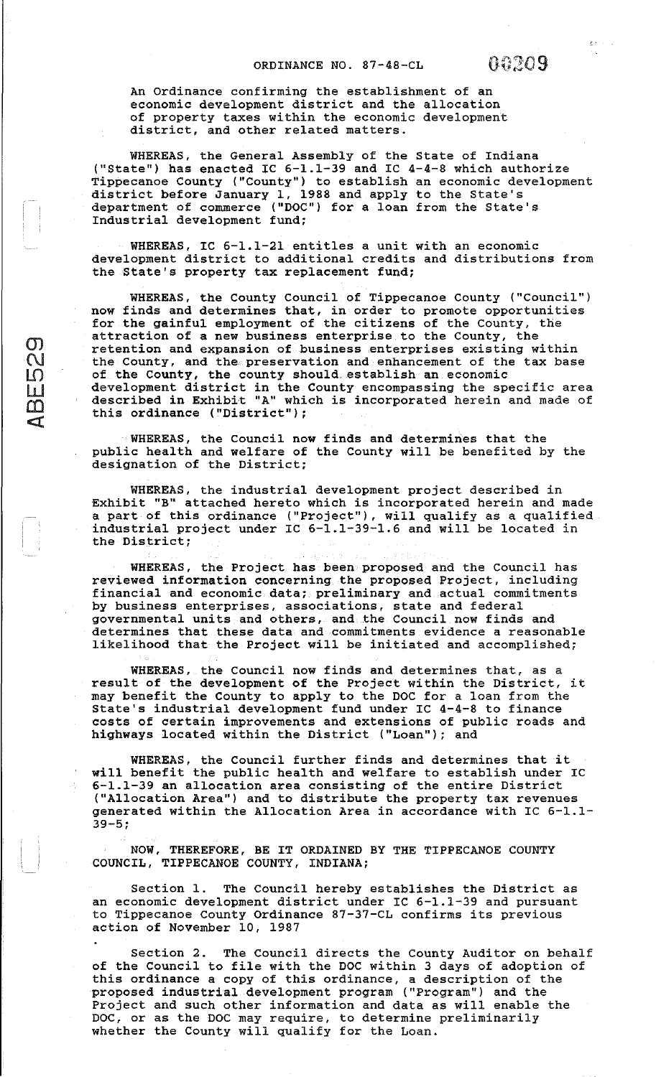An Ordinance confirming the establishment of an economic development district and the allocation of property taxes within the economic development district, and other related matters.

WHEREAS, the General Assembly of the State of Indiana ("State") has enacted IC 6-1.1-39 and IC 4-4-8 which authorize Tippecanoe County ("County") to establish an economic development district before January 1, 1988 and apply to the State's department of commerce ("DOC") for a loan from the State's Industrial development fund;

WHEREAS, IC 6-1.1-21 entitles a unit with an economic development district to additional credits and distributions from the State's property tax replacement fund;

WHEREAS, the County Council of Tippecanoe County ("Council") now finds and determines that, in order to promote opportunities for the gainful employment of the citizens of the County, the attraction of a new business enterprise to the County, the retention and expansion of business enterprises existing within the County, and the preservation and enhancement of the tax base of the County, the county should. establish an economic development district in the County encompassing the specific area described in Exhibit "A" which is incorporated herein and made of this ordinance ("District");

 $\mathcal{Q}_\mathcal{P}$  $\tilde{\mathbf{Q}}$ 

 $\frac{1}{2}$  $\overline{\Omega}$  $\overline{\mathbf{q}}$ 

WHEREAS, the council now finds and determines that the public health and welfare of the County will be benefited by the designation of the District;

WHEREAS, the industrial development project described in Exhibit "B" attached hereto which is incorporated herein and made a part of this ordinance ("Project"), will qualify as a qualified industrial project under IC 6-1.1-39-1.6 and will be located in the District;

WHEREAS, the Project has been proposed and the Council has reviewed information concerning the proposed Project, including financial and economic data; preliminary and actual commitments by business enterprises, associations, state and federal governmental units and others, and the Council now finds and determines that these data and commitments evidence a reasonable likelihood that the Project will be initiated and accomplished;

WHEREAS, the Council now finds and determines that, as a result of the development of the Project within the District, it may benefit the County to apply to the DOC for a loan from the state's industrial development fund under IC 4-4-8 to finance costs of certain improvements and extensions of public roads and highways located within the District ("Loan"); and

WHEREAS, the Council further finds and determines that it will benefit the public health and welfare to establish under IC 6-1.1-39 an allocation area consisting of the entire District ("Allocation Area") and to distribute the property tax revenues generated within the Allocation Area in accordance with IC 6-1.1- 39-5;

NOW, THEREFORE, BE IT ORDAINED BY THE TIPPECANOE COUNTY COUNCIL, TIPPECANOE COUNTY, INDIANA;

Section l. The Council hereby establishes the District as an economic development district under IC 6-1.1-39 and pursuant to Tippecanoe County Ordinance 87-37-CL confirms its previous action of November 10, 1987

Section 2. The Council directs the County Auditor on behalf of the Council to file with the DOC within 3 days of adoption of this ordinance a copy of this ordinance, a description of the proposed industrial development program ("Program") and the Project and such other information and data as will enable the DOC, or as the DOC may require, to determine preliminarily whether the County will qualify for the Loan.

 $\frac{1}{N}$  by  $\beta \in \mathbb{R}^2$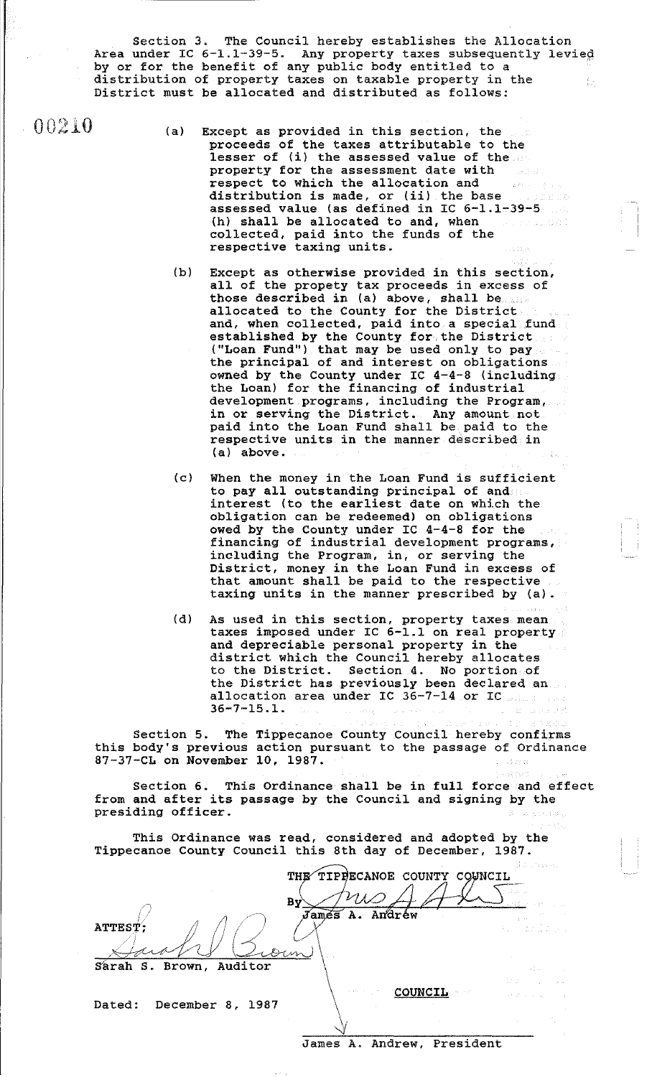Section 3. The Council hereby establishes the Allocation Area under IC 6-1.1-39-5. Any property taxes subsequently levied by or for the benefit of any public body entitled to a distribution of property taxes on taxable property in the District must be allocated and distributed as follows:

 $0.00210$ 

- (a) Except as provided in this section, the proceeds of the taxes attributable to the lesser of (i) the assessed value of the property for the assessment date with respect to which the allocation and distribution is made, or (ii) the base assessed value (as defined in IC 6-1.1-39-5 (h) shall be allocated to and, when collected, paid into the funds of the respective taxing units.
	- (b) Except as otherwise provided in this section, all of the propety tax proceeds in excess of those described in (a) above, shall be allocated to the County for the District and, when collected, paid into a special fund established by the County for the District ("Loan Fund") that may be used only to pay the principal of and interest on obligations owned by the County under IC 4-4-8 (including the Loan) for the financing of industrial development programs, including the Program, in or serving the District. Any amount not. paid into the Loan Fund shall be paid to the respective units in the manner described in (a) above.
	- (cl When the money in the Loan Fund is sufficient to pay all outstanding principal of and interest (to the earliest date on which the obligation can be redeemed) on obligations owed by the County under IC 4-4-8 for the financing of industrial development programs, including the Program, in, or serving the District, money in the Loan Fund in excess of that amount shall be paid to the respective taxing units in the manner prescribed by (a).
	- (d) As used in this section, property taxes mean taxes imposed under IC 6-1.1 on real property and depreciable personal property in the district which the Council hereby allocates to the District. Section 4. No portion of the District has previously been declared an allocation area under IC 36-7-14 or IC 36-7-15.1.

Section 5. The Tippecanoe County Council hereby confirms this body's previous action pursuant to the passage of Ordinance 87-37-CL on November 10, 1987.

Section 6. This Ordinance shall be in full force and effect from and after its passage by the Council and signing by the presiding officer.

This Ordinance was read, considered and adopted by the Tippecanoe County Council this 8th day of December, 1987.

By *June 1.* ALL  $\frac{\sqrt{2\pi}}{\sqrt{2\pi}}$ Sarah S. Brown, Auditor Dated: December 8, 1987  $\vee$ C9UNCIL